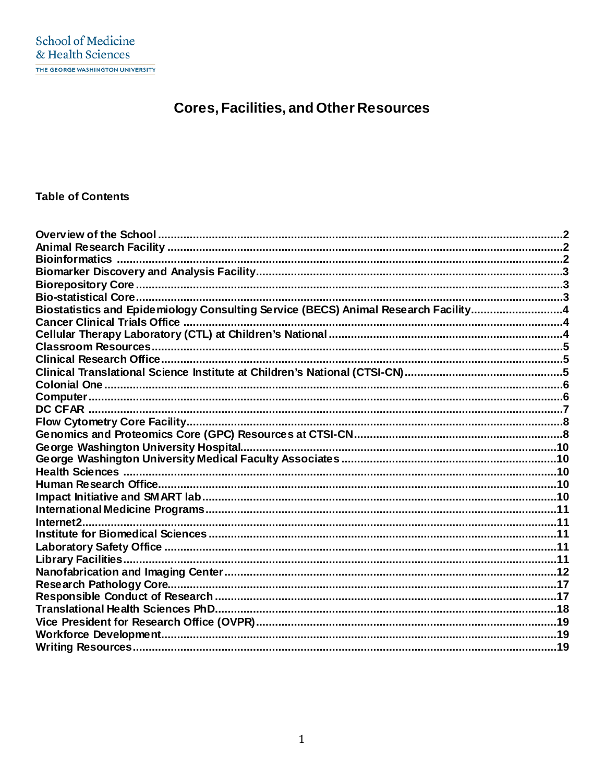# **Cores, Facilities, and Other Resources**

# **Table of Contents**

| Biostatistics and Epidemiology Consulting Service (BECS) Animal Research Facility4 |  |
|------------------------------------------------------------------------------------|--|
|                                                                                    |  |
|                                                                                    |  |
|                                                                                    |  |
|                                                                                    |  |
|                                                                                    |  |
|                                                                                    |  |
|                                                                                    |  |
|                                                                                    |  |
|                                                                                    |  |
|                                                                                    |  |
|                                                                                    |  |
|                                                                                    |  |
|                                                                                    |  |
|                                                                                    |  |
|                                                                                    |  |
|                                                                                    |  |
|                                                                                    |  |
|                                                                                    |  |
|                                                                                    |  |
|                                                                                    |  |
|                                                                                    |  |
|                                                                                    |  |
|                                                                                    |  |
|                                                                                    |  |
|                                                                                    |  |
|                                                                                    |  |
|                                                                                    |  |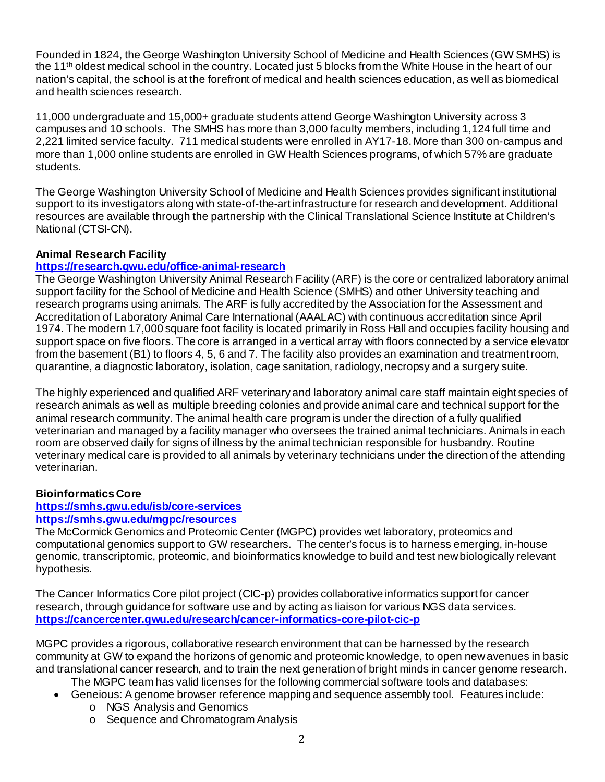Founded in 1824, the George Washington University School of Medicine and Health Sciences (GW SMHS) is the 11th oldest medical school in the country. Located just 5 blocks from the White House in the heart of our nation's capital, the school is at the forefront of medical and health sciences education, as well as biomedical and health sciences research.

11,000 undergraduate and 15,000+ graduate students attend George Washington University across 3 campuses and 10 schools. The SMHS has more than 3,000 faculty members, including 1,124 full time and 2,221 limited service faculty. 711 medical students were enrolled in AY17-18. More than 300 on-campus and more than 1,000 online students are enrolled in GW Health Sciences programs, of which 57% are graduate students.

The George Washington University School of Medicine and Health Sciences provides significant institutional support to its investigators along with state-of-the-art infrastructure for research and development. Additional resources are available through the partnership with the Clinical Translational Science Institute at Children's National (CTSI-CN).

### **Animal Research Facility**

#### **<https://research.gwu.edu/office-animal-research>**

The George Washington University Animal Research Facility (ARF) is the core or centralized laboratory animal support facility for the School of Medicine and Health Science (SMHS) and other University teaching and research programs using animals. The ARF is fully accredited by the Association for the Assessment and Accreditation of Laboratory Animal Care International (AAALAC) with continuous accreditation since April 1974. The modern 17,000 square foot facility is located primarily in Ross Hall and occupies facility housing and support space on five floors. The core is arranged in a vertical array with floors connected by a service elevator from the basement (B1) to floors 4, 5, 6 and 7. The facility also provides an examination and treatment room, quarantine, a diagnostic laboratory, isolation, cage sanitation, radiology, necropsy and a surgery suite.

The highly experienced and qualified ARF veterinary and laboratory animal care staff maintain eight species of research animals as well as multiple breeding colonies and provide animal care and technical support for the animal research community. The animal health care program is under the direction of a fully qualified veterinarian and managed by a facility manager who oversees the trained animal technicians. Animals in each room are observed daily for signs of illness by the animal technician responsible for husbandry. Routine veterinary medical care is provided to all animals by veterinary technicians under the direction of the attending veterinarian.

#### **Bioinformatics Core**

#### **<https://smhs.gwu.edu/isb/core-services> <https://smhs.gwu.edu/mgpc/resources>**

The McCormick Genomics and Proteomic Center (MGPC) provides wet laboratory, proteomics and computational genomics support to GW researchers. The center's focus is to harness emerging, in-house genomic, transcriptomic, proteomic, and bioinformatics knowledge to build and test new biologically relevant hypothesis.

The Cancer Informatics Core pilot project (CIC-p) provides collaborative informatics support for cancer research, through guidance for software use and by acting as liaison for various NGS data services. **<https://cancercenter.gwu.edu/research/cancer-informatics-core-pilot-cic-p>**

MGPC provides a rigorous, collaborative research environment that can be harnessed by the research community at GW to expand the horizons of genomic and proteomic knowledge, to open new avenues in basic and translational cancer research, and to train the next generation of bright minds in cancer genome research.

- The MGPC team has valid licenses for the following commercial software tools and databases:
- Geneious: A genome browser reference mapping and sequence assembly tool. Features include:
	- o NGS Analysis and Genomics
	- o Sequence and Chromatogram Analysis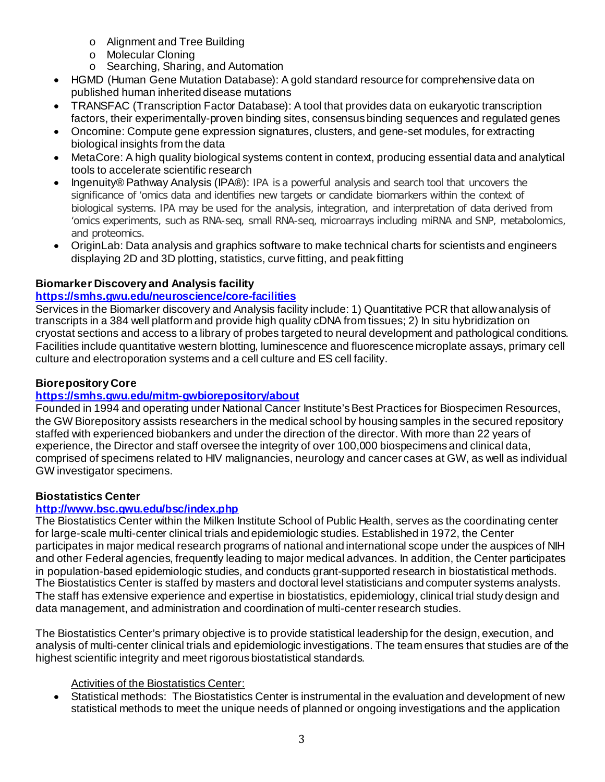- o Alignment and Tree Building
- o Molecular Cloning
- o Searching, Sharing, and Automation
- HGMD (Human Gene Mutation Database): A gold standard resource for comprehensive data on published human inherited disease mutations
- TRANSFAC (Transcription Factor Database): A tool that provides data on eukaryotic transcription factors, their experimentally-proven binding sites, consensus binding sequences and regulated genes
- Oncomine: Compute gene expression signatures, clusters, and gene-set modules, for extracting biological insights from the data
- MetaCore: A high quality biological systems content in context, producing essential data and analytical tools to accelerate scientific research
- Ingenuity® Pathway Analysis (IPA®): IPA is a powerful analysis and search tool that uncovers the significance of 'omics data and identifies new targets or candidate biomarkers within the context of biological systems. IPA may be used for the analysis, integration, and interpretation of data derived from 'omics experiments, such as RNA-seq, small RNA-seq, microarrays including miRNA and SNP, metabolomics, and proteomics.
- OriginLab: Data analysis and graphics software to make technical charts for scientists and engineers displaying 2D and 3D plotting, statistics, curve fitting, and peak fitting

# **Biomarker Discovery and Analysis facility**

# **<https://smhs.gwu.edu/neuroscience/core-facilities>**

Services in the Biomarker discovery and Analysis facility include: 1) Quantitative PCR that allow analysis of transcripts in a 384 well platform and provide high quality cDNA from tissues; 2) In situ hybridization on cryostat sections and access to a library of probes targeted to neural development and pathological conditions. Facilities include quantitative western blotting, luminescence and fluorescence microplate assays, primary cell culture and electroporation systems and a cell culture and ES cell facility.

# **Biorepository Core**

# **<https://smhs.gwu.edu/mitm-gwbiorepository/about>**

Founded in 1994 and operating under National Cancer Institute's Best Practices for Biospecimen Resources, the GW Biorepository assists researchers in the medical school by housing samples in the secured repository staffed with experienced biobankers and under the direction of the director. With more than 22 years of experience, the Director and staff oversee the integrity of over 100,000 biospecimens and clinical data, comprised of specimens related to HIV malignancies, neurology and cancer cases at GW, as well as individual GW investigator specimens.

# **Biostatistics Center**

# **<http://www.bsc.gwu.edu/bsc/index.php>**

The Biostatistics Center within the Milken Institute School of Public Health, serves as the coordinating center for large-scale multi-center clinical trials and epidemiologic studies. Established in 1972, the Center participates in major medical research programs of national and international scope under the auspices of NIH and other Federal agencies, frequently leading to major medical advances. In addition, the Center participates in population-based epidemiologic studies, and conducts grant-supported research in biostatistical methods. The Biostatistics Center is staffed by masters and doctoral level statisticians and computer systems analysts. The staff has extensive experience and expertise in biostatistics, epidemiology, clinical trial study design and data management, and administration and coordination of multi-center research studies.

The Biostatistics Center's primary objective is to provide statistical leadership for the design, execution, and analysis of multi-center clinical trials and epidemiologic investigations. The team ensures that studies are of the highest scientific integrity and meet rigorous biostatistical standards.

#### Activities of the Biostatistics Center:

• Statistical methods: The Biostatistics Center is instrumental in the evaluation and development of new statistical methods to meet the unique needs of planned or ongoing investigations and the application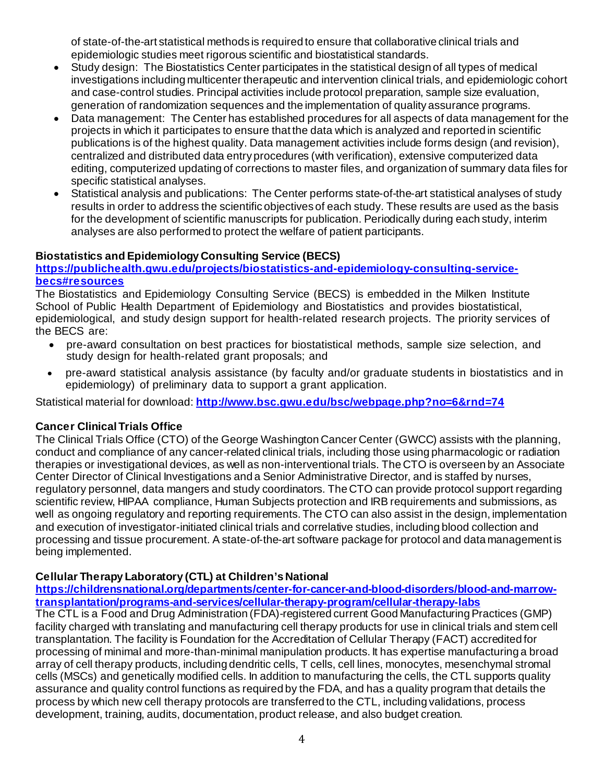of state-of-the-art statistical methods is required to ensure that collaborative clinical trials and epidemiologic studies meet rigorous scientific and biostatistical standards.

- Study design: The Biostatistics Center participates in the statistical design of all types of medical investigations including multicenter therapeutic and intervention clinical trials, and epidemiologic cohort and case-control studies. Principal activities include protocol preparation, sample size evaluation, generation of randomization sequences and the implementation of quality assurance programs.
- Data management: The Center has established procedures for all aspects of data management for the projects in which it participates to ensure that the data which is analyzed and reported in scientific publications is of the highest quality. Data management activities include forms design (and revision), centralized and distributed data entry procedures (with verification), extensive computerized data editing, computerized updating of corrections to master files, and organization of summary data files for specific statistical analyses.
- Statistical analysis and publications: The Center performs state-of-the-art statistical analyses of study results in order to address the scientific objectives of each study. These results are used as the basis for the development of scientific manuscripts for publication. Periodically during each study, interim analyses are also performed to protect the welfare of patient participants.

# **Biostatistics and Epidemiology Consulting Service (BECS)**

# **[https://publichealth.gwu.edu/projects/biostatistics-and-epidemiology-consulting-service](https://publichealth.gwu.edu/projects/biostatistics-and-epidemiology-consulting-service-becs#resources)[becs#resources](https://publichealth.gwu.edu/projects/biostatistics-and-epidemiology-consulting-service-becs#resources)**

The Biostatistics and Epidemiology Consulting Service (BECS) is embedded in the Milken Institute School of Public Health Department of Epidemiology and Biostatistics and provides biostatistical, epidemiological, and study design support for health-related research projects. The priority services of the BECS are:

- pre-award consultation on best practices for biostatistical methods, sample size selection, and study design for health-related grant proposals; and
- pre-award statistical analysis assistance (by faculty and/or graduate students in biostatistics and in epidemiology) of preliminary data to support a grant application.

Statistical material for download: **<http://www.bsc.gwu.edu/bsc/webpage.php?no=6&rnd=74>**

# **Cancer Clinical Trials Office**

The Clinical Trials Office (CTO) of the George Washington Cancer Center (GWCC) assists with the planning, conduct and compliance of any cancer-related clinical trials, including those using pharmacologic or radiation therapies or investigational devices, as well as non-interventional trials. The CTO is overseen by an Associate Center Director of Clinical Investigations and a Senior Administrative Director, and is staffed by nurses, regulatory personnel, data mangers and study coordinators. The CTO can provide protocol support regarding scientific review, HIPAA compliance, Human Subjects protection and IRB requirements and submissions, as well as ongoing regulatory and reporting requirements. The CTO can also assist in the design, implementation and execution of investigator-initiated clinical trials and correlative studies, including blood collection and processing and tissue procurement. A state-of-the-art software package for protocol and data management is being implemented.

# **Cellular Therapy Laboratory (CTL) at Children's National**

**[https://childrensnational.org/departments/center-for-cancer-and-blood-disorders/blood-and-marrow](https://childrensnational.org/departments/center-for-cancer-and-blood-disorders/blood-and-marrow-transplantation/programs-and-services/cellular-therapy-program/cellular-therapy-labs)[transplantation/programs-and-services/cellular-therapy-program/cellular-therapy-labs](https://childrensnational.org/departments/center-for-cancer-and-blood-disorders/blood-and-marrow-transplantation/programs-and-services/cellular-therapy-program/cellular-therapy-labs)**

The CTL is a Food and Drug Administration (FDA)-registered current Good Manufacturing Practices (GMP) facility charged with translating and manufacturing cell therapy products for use in clinical trials and stem cell transplantation. The facility is Foundation for the Accreditation of Cellular Therapy (FACT) accredited for processing of minimal and more-than-minimal manipulation products. It has expertise manufacturing a broad array of cell therapy products, including dendritic cells, T cells, cell lines, monocytes, mesenchymal stromal cells (MSCs) and genetically modified cells. In addition to manufacturing the cells, the CTL supports quality assurance and quality control functions as required by the FDA, and has a quality program that details the process by which new cell therapy protocols are transferred to the CTL, including validations, process development, training, audits, documentation, product release, and also budget creation.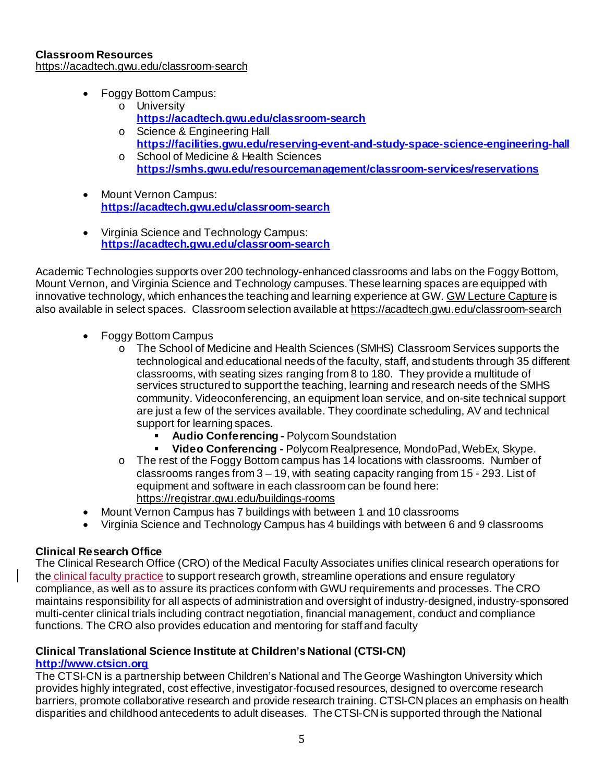- Foggy Bottom Campus:
	- o University **<https://acadtech.gwu.edu/classroom-search>**
	- o Science & Engineering Hall **<https://facilities.gwu.edu/reserving-event-and-study-space-science-engineering-hall>**
	- o School of Medicine & Health Sciences **<https://smhs.gwu.edu/resourcemanagement/classroom-services/reservations>**
- Mount Vernon Campus: **<https://acadtech.gwu.edu/classroom-search>**
- Virginia Science and Technology Campus: **<https://acadtech.gwu.edu/classroom-search>**

Academic Technologies supports over 200 technology-enhanced classrooms and labs on the Foggy Bottom, Mount Vernon, and Virginia Science and Technology campuses. These learning spaces are equipped with innovative technology, which enhances the teaching and learning experience at GW. [GW Lecture Capture](https://acadtech.gwu.edu/lecture-capture) is also available in select spaces. Classroom selection available at <https://acadtech.gwu.edu/classroom-search>

- Foggy Bottom Campus
	- o The School of Medicine and Health Sciences (SMHS) Classroom Services supports the technological and educational needs of the faculty, staff, and students through 35 different classrooms, with seating sizes ranging from 8 to 180. They provide a multitude of services structured to support the teaching, learning and research needs of the SMHS community. Videoconferencing, an equipment loan service, and on-site technical support are just a few of the services available. They coordinate scheduling, AV and technical support for learning spaces.
		- **Audio Conferencing -** Polycom Soundstation
		- **Video Conferencing -** Polycom Realpresence, MondoPad, WebEx, Skype.
	- $\circ$  The rest of the Foggy Bottom campus has 14 locations with classrooms. Number of classrooms ranges from 3 – 19, with seating capacity ranging from 15 - 293. List of equipment and software in each classroom can be found here: <https://registrar.gwu.edu/buildings-rooms>
- Mount Vernon Campus has 7 buildings with between 1 and 10 classrooms
- Virginia Science and Technology Campus has 4 buildings with between 6 and 9 classrooms

# **Clinical Research Office**

The Clinical Research Office (CRO) of the Medical Faculty Associates unifies clinical research operations for the clinical faculty practice to support research growth, streamline operations and ensure regulatory compliance, as well as to assure its practices conform with GWU requirements and processes. The CRO maintains responsibility for all aspects of administration and oversight of industry-designed, industry-sponsored multi-center clinical trials including contract negotiation, financial management, conduct and compliance functions. The CRO also provides education and mentoring for staff and faculty

#### **Clinical Translational Science Institute at Children's National (CTSI-CN) [http://www.ctsicn.org](http://www.ctsicn.org/)**

The CTSI-CN is a partnership between Children's National and The George Washington University which provides highly integrated, cost effective, investigator-focused resources, designed to overcome research barriers, promote collaborative research and provide research training. CTSI-CN places an emphasis on health disparities and childhood antecedents to adult diseases. The CTSI-CN is supported through the National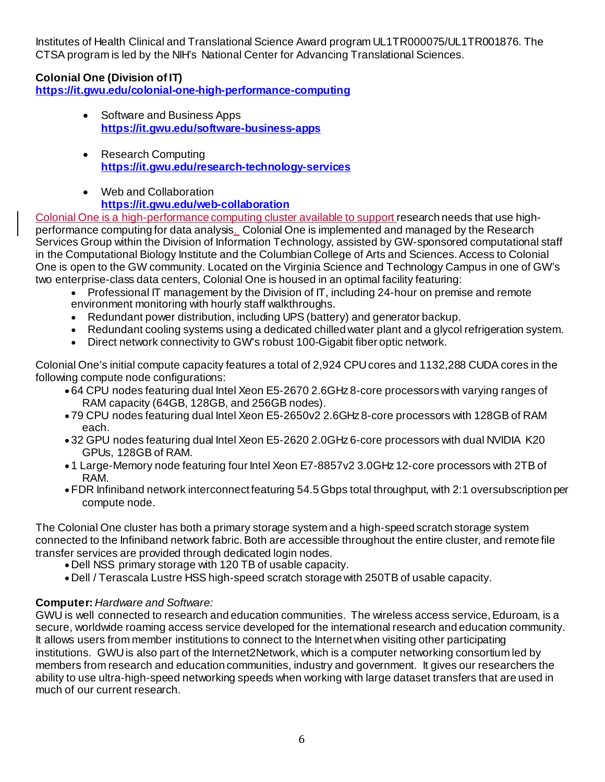Institutes of Health Clinical and Translational Science Award program UL1TR000075/UL1TR001876. The CTSA program is led by the NIH's National Center for Advancing Translational Sciences.

# **Colonial One (Division of IT)**

**<https://it.gwu.edu/colonial-one-high-performance-computing>**

- Software and Business Apps **<https://it.gwu.edu/software-business-apps>**
- Research Computing **<https://it.gwu.edu/research-technology-services>**
- Web and Collaboration **<https://it.gwu.edu/web-collaboration>**

Colonial One is a high-performance computing cluster available to support research needs that use highperformance computing for data analysis. Colonial One is implemented and managed by the Research Services Group within the Division of Information Technology, assisted by GW-sponsored computational staff in the Computational Biology Institute and the Columbian College of Arts and Sciences. Access to Colonial One is open to the GW community. Located on the Virginia Science and Technology Campus in one of GW's two enterprise-class data centers, Colonial One is housed in an optimal facility featuring:

- Professional IT management by the Division of IT, including 24-hour on premise and remote environment monitoring with hourly staff walkthroughs.
- Redundant power distribution, including UPS (battery) and generator backup.
- Redundant cooling systems using a dedicated chilled water plant and a glycol refrigeration system.
- Direct network connectivity to GW's robust 100-Gigabit fiber optic network.

Colonial One's initial compute capacity features a total of 2,924 CPU cores and 1132,288 CUDA cores in the following compute node configurations:

- 64 CPU nodes featuring dual Intel Xeon E5-2670 2.6GHz 8-core processors with varying ranges of RAM capacity (64GB, 128GB, and 256GB nodes).
- 79 CPU nodes featuring dual Intel Xeon E5-2650v2 2.6GHz 8-core processors with 128GB of RAM each.
- 32 GPU nodes featuring dual Intel Xeon E5-2620 2.0GHz 6-core processors with dual NVIDIA K20 GPUs, 128GB of RAM.
- 1 Large-Memory node featuring four Intel Xeon E7-8857v2 3.0GHz 12-core processors with 2TB of RAM.
- •FDR Infiniband network interconnect featuring 54.5 Gbps total throughput, with 2:1 oversubscription per compute node.

The Colonial One cluster has both a primary storage system and a high-speed scratch storage system connected to the Infiniband network fabric. Both are accessible throughout the entire cluster, and remote file transfer services are provided through dedicated login nodes.

- Dell NSS primary storage with 120 TB of usable capacity.
- •Dell / Terascala Lustre HSS high-speed scratch storage with 250TB of usable capacity.

# **Computer:** *Hardware and Software:*

GWU is well connected to research and education communities. The wireless access service, Eduroam, is a secure, worldwide roaming access service developed for the international research and education community. It allows users from member institutions to connect to the Internet when visiting other participating institutions. GWU is also part of the Internet2Network, which is a computer networking consortium led by members from research and education communities, industry and government. It gives our researchers the ability to use ultra-high-speed networking speeds when working with large dataset transfers that are used in much of our current research.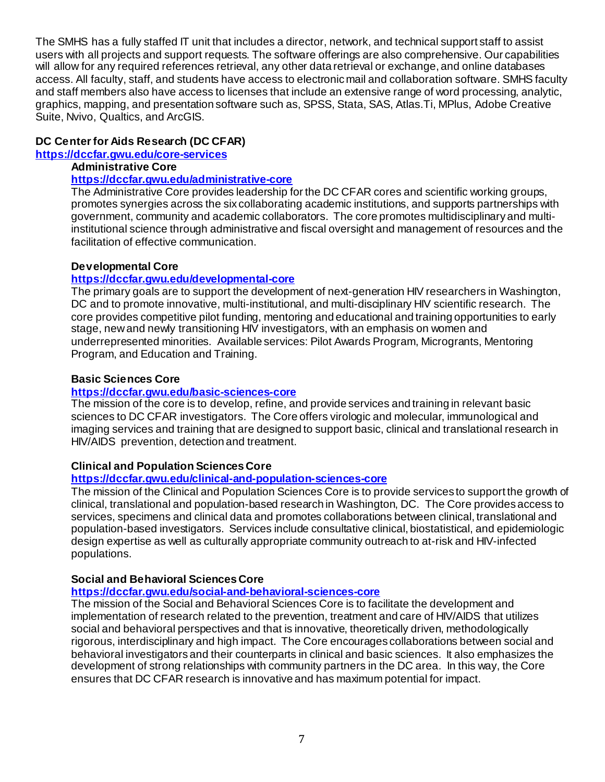The SMHS has a fully staffed IT unit that includes a director, network, and technical support staff to assist users with all projects and support requests. The software offerings are also comprehensive. Our capabilities will allow for any required references retrieval, any other data retrieval or exchange, and online databases access. All faculty, staff, and students have access to electronic mail and collaboration software. SMHS faculty and staff members also have access to licenses that include an extensive range of word processing, analytic, graphics, mapping, and presentation software such as, SPSS, Stata, SAS, Atlas.Ti, MPlus, Adobe Creative Suite, Nvivo, Qualtics, and ArcGIS.

# **DC Center for Aids Research (DC CFAR)**

**<https://dccfar.gwu.edu/core-services>**

# **Administrative Core**

# **<https://dccfar.gwu.edu/administrative-core>**

The Administrative Core provides leadership for the DC CFAR cores and scientific working groups, promotes synergies across the six collaborating academic institutions, and supports partnerships with government, community and academic collaborators. The core promotes multidisciplinary and multiinstitutional science through administrative and fiscal oversight and management of resources and the facilitation of effective communication.

# **Developmental Core**

# **<https://dccfar.gwu.edu/developmental-core>**

The primary goals are to support the development of next-generation HIV researchers in Washington, DC and to promote innovative, multi-institutional, and multi-disciplinary HIV scientific research. The core provides competitive pilot funding, mentoring and educational and training opportunities to early stage, new and newly transitioning HIV investigators, with an emphasis on women and underrepresented minorities. Available services: Pilot Awards Program, Microgrants, Mentoring Program, and Education and Training.

### **Basic Sciences Core**

# **<https://dccfar.gwu.edu/basic-sciences-core>**

The mission of the core is to develop, refine, and provide services and training in relevant basic sciences to DC CFAR investigators. The Core offers virologic and molecular, immunological and imaging services and training that are designed to support basic, clinical and translational research in HIV/AIDS prevention, detection and treatment.

# **Clinical and Population Sciences Core**

# **<https://dccfar.gwu.edu/clinical-and-population-sciences-core>**

The mission of the Clinical and Population Sciences Core is to provide services to support the growth of clinical, translational and population-based research in Washington, DC. The Core provides access to services, specimens and clinical data and promotes collaborations between clinical, translational and population-based investigators. Services include consultative clinical, biostatistical, and epidemiologic design expertise as well as culturally appropriate community outreach to at-risk and HIV-infected populations.

# **Social and Behavioral Sciences Core**

# **<https://dccfar.gwu.edu/social-and-behavioral-sciences-core>**

The mission of the Social and Behavioral Sciences Core is to facilitate the development and implementation of research related to the prevention, treatment and care of HIV/AIDS that utilizes social and behavioral perspectives and that is innovative, theoretically driven, methodologically rigorous, interdisciplinary and high impact. The Core encourages collaborations between social and behavioral investigators and their counterparts in clinical and basic sciences. It also emphasizes the development of strong relationships with community partners in the DC area. In this way, the Core ensures that DC CFAR research is innovative and has maximum potential for impact.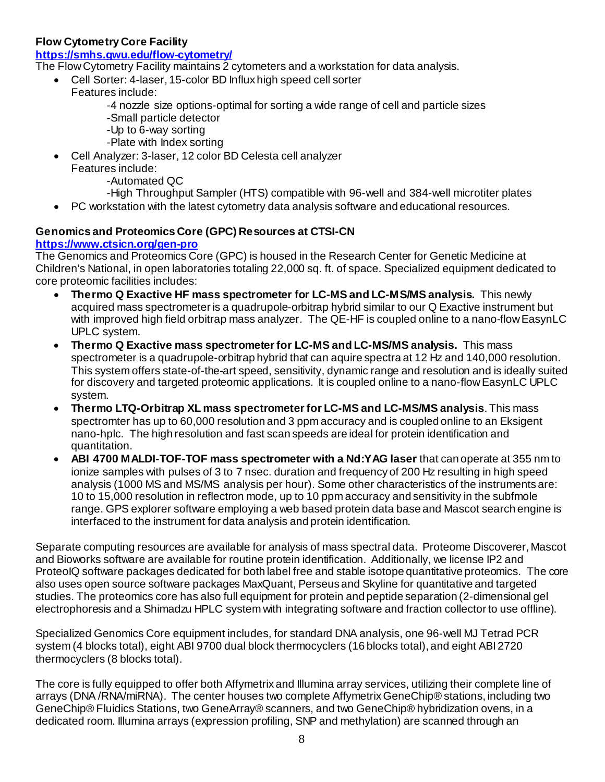### **Flow Cytometry Core Facility**

### **<https://smhs.gwu.edu/flow-cytometry/>**

The FlowCytometry Facility maintains 2 cytometers and a workstation for data analysis.

- Cell Sorter: 4-laser, 15-color BD Influx high speed cell sorter
	- Features include:
		- -4 nozzle size options-optimal for sorting a wide range of cell and particle sizes
		- -Small particle detector
		- -Up to 6-way sorting
		- -Plate with Index sorting
	- Cell Analyzer: 3-laser, 12 color BD Celesta cell analyzer Features include:
		- -Automated QC
		- -High Throughput Sampler (HTS) compatible with 96-well and 384-well microtiter plates
	- PC workstation with the latest cytometry data analysis software and educational resources.

### **Genomics and Proteomics Core (GPC) Resources at CTSI-CN**

### **<https://www.ctsicn.org/gen-pro>**

The Genomics and Proteomics Core (GPC) is housed in the Research Center for Genetic Medicine at Children's National, in open laboratories totaling 22,000 sq. ft. of space. Specialized equipment dedicated to core proteomic facilities includes:

- **Thermo Q Exactive HF mass spectrometer for LC-MS and LC-MS/MS analysis.** This newly acquired mass spectrometer is a quadrupole-orbitrap hybrid similar to our Q Exactive instrument but with improved high field orbitrap mass analyzer. The QE-HF is coupled online to a nano-flow EasynLC UPLC system.
- **Thermo Q Exactive mass spectrometer for LC-MS and LC-MS/MS analysis.** This mass spectrometer is a quadrupole-orbitrap hybrid that can aquire spectra at 12 Hz and 140,000 resolution. This system offers state-of-the-art speed, sensitivity, dynamic range and resolution and is ideally suited for discovery and targeted proteomic applications. It is coupled online to a nano-flow EasynLC UPLC system.
- **Thermo LTQ-Orbitrap XL mass spectrometer for LC-MS and LC-MS/MS analysis**. This mass spectromter has up to 60,000 resolution and 3 ppm accuracy and is coupled online to an Eksigent nano-hplc. The high resolution and fast scan speeds are ideal for protein identification and quantitation.
- **ABI 4700 MALDI-TOF-TOF mass spectrometer with a Nd:YAG laser** that can operate at 355 nm to ionize samples with pulses of 3 to 7 nsec. duration and frequency of 200 Hz resulting in high speed analysis (1000 MS and MS/MS analysis per hour). Some other characteristics of the instruments are: 10 to 15,000 resolution in reflectron mode, up to 10 ppm accuracy and sensitivity in the subfmole range. GPS explorer software employing a web based protein data base and Mascot search engine is interfaced to the instrument for data analysis and protein identification.

Separate computing resources are available for analysis of mass spectral data. Proteome Discoverer, Mascot and Bioworks software are available for routine protein identification. Additionally, we license IP2 and ProteoIQ software packages dedicated for both label free and stable isotope quantitative proteomics. The core also uses open source software packages MaxQuant, Perseus and Skyline for quantitative and targeted studies. The proteomics core has also full equipment for protein and peptide separation (2-dimensional gel electrophoresis and a Shimadzu HPLC system with integrating software and fraction collector to use offline).

Specialized Genomics Core equipment includes, for standard DNA analysis, one 96-well MJ Tetrad PCR system (4 blocks total), eight ABI 9700 dual block thermocyclers (16 blocks total), and eight ABI 2720 thermocyclers (8 blocks total).

The core is fully equipped to offer both Affymetrix and Illumina array services, utilizing their complete line of arrays (DNA /RNA/miRNA). The center houses two complete Affymetrix GeneChip® stations, including two GeneChip® Fluidics Stations, two GeneArray® scanners, and two GeneChip® hybridization ovens, in a dedicated room. Illumina arrays (expression profiling, SNP and methylation) are scanned through an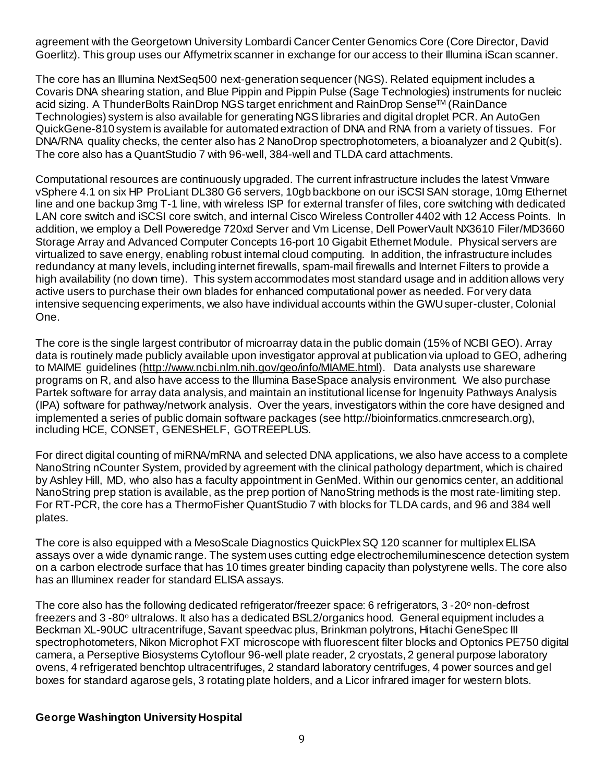agreement with the Georgetown University Lombardi Cancer Center Genomics Core (Core Director, David Goerlitz). This group uses our Affymetrix scanner in exchange for our access to their Illumina iScan scanner.

The core has an Illumina NextSeq500 next-generation sequencer (NGS). Related equipment includes a Covaris DNA shearing station, and Blue Pippin and Pippin Pulse (Sage Technologies) instruments for nucleic acid sizing. A ThunderBolts RainDrop NGS target enrichment and RainDrop SenseTM (RainDance Technologies) system is also available for generating NGS libraries and digital droplet PCR. An AutoGen QuickGene-810 system is available for automated extraction of DNA and RNA from a variety of tissues. For DNA/RNA quality checks, the center also has 2 NanoDrop spectrophotometers, a bioanalyzer and 2 Qubit(s). The core also has a QuantStudio 7 with 96-well, 384-well and TLDA card attachments.

Computational resources are continuously upgraded. The current infrastructure includes the latest Vmware vSphere 4.1 on six HP ProLiant DL380 G6 servers, 10gb backbone on our iSCSI SAN storage, 10mg Ethernet line and one backup 3mg T-1 line, with wireless ISP for external transfer of files, core switching with dedicated LAN core switch and iSCSI core switch, and internal Cisco Wireless Controller 4402 with 12 Access Points. In addition, we employ a Dell Poweredge 720xd Server and Vm License, Dell PowerVault NX3610 Filer/MD3660 Storage Array and Advanced Computer Concepts 16-port 10 Gigabit Ethernet Module. Physical servers are virtualized to save energy, enabling robust internal cloud computing. In addition, the infrastructure includes redundancy at many levels, including internet firewalls, spam-mail firewalls and Internet Filters to provide a high availability (no down time). This system accommodates most standard usage and in addition allows very active users to purchase their own blades for enhanced computational power as needed. For very data intensive sequencing experiments, we also have individual accounts within the GWU super-cluster, Colonial One.

The core is the single largest contributor of microarray data in the public domain (15% of NCBI GEO). Array data is routinely made publicly available upon investigator approval at publication via upload to GEO, adhering to MAIME guidelines [\(http://www.ncbi.nlm.nih.gov/geo/info/MIAME.html\)](http://www.ncbi.nlm.nih.gov/geo/info/MIAME.html). Data analysts use shareware programs on R, and also have access to the Illumina BaseSpace analysis environment. We also purchase Partek software for array data analysis, and maintain an institutional license for Ingenuity Pathways Analysis (IPA) software for pathway/network analysis. Over the years, investigators within the core have designed and implemented a series of public domain software packages (see http://bioinformatics.cnmcresearch.org), including HCE, CONSET, GENESHELF, GOTREEPLUS.

For direct digital counting of miRNA/mRNA and selected DNA applications, we also have access to a complete NanoString nCounter System, provided by agreement with the clinical pathology department, which is chaired by Ashley Hill, MD, who also has a faculty appointment in GenMed. Within our genomics center, an additional NanoString prep station is available, as the prep portion of NanoString methods is the most rate-limiting step. For RT-PCR, the core has a ThermoFisher QuantStudio 7 with blocks for TLDA cards, and 96 and 384 well plates.

The core is also equipped with a MesoScale Diagnostics QuickPlex SQ 120 scanner for multiplex ELISA assays over a wide dynamic range. The system uses cutting edge electrochemiluminescence detection system on a carbon electrode surface that has 10 times greater binding capacity than polystyrene wells. The core also has an Illuminex reader for standard ELISA assays.

The core also has the following dedicated refrigerator/freezer space: 6 refrigerators, 3 -20° non-defrost freezers and 3-80<sup>°</sup> ultralows. It also has a dedicated BSL2/organics hood. General equipment includes a Beckman XL-90UC ultracentrifuge, Savant speedvac plus, Brinkman polytrons, Hitachi GeneSpec III spectrophotometers, Nikon Microphot FXT microscope with fluorescent filter blocks and Optonics PE750 digital camera, a Perseptive Biosystems Cytoflour 96-well plate reader, 2 cryostats, 2 general purpose laboratory ovens, 4 refrigerated benchtop ultracentrifuges, 2 standard laboratory centrifuges, 4 power sources and gel boxes for standard agarose gels, 3 rotating plate holders, and a Licor infrared imager for western blots.

#### **George Washington University Hospital**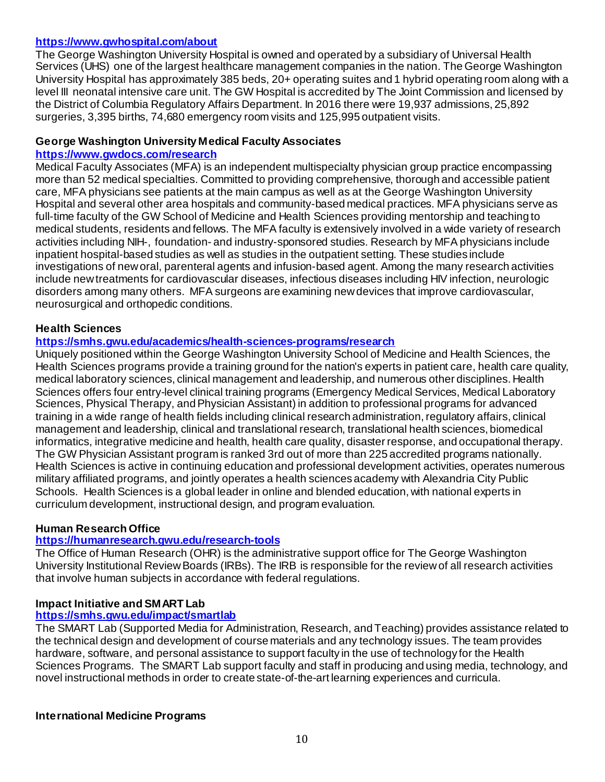#### **<https://www.gwhospital.com/about>**

The George Washington University Hospital is owned and operated by a subsidiary of Universal Health Services (UHS) one of the largest healthcare management companies in the nation. The George Washington University Hospital has approximately 385 beds, 20+ operating suites and 1 hybrid operating room along with a level III neonatal intensive care unit. The GW Hospital is accredited by The Joint Commission and licensed by the District of Columbia Regulatory Affairs Department. In 2016 there were 19,937 admissions, 25,892 surgeries, 3,395 births, 74,680 emergency room visits and 125,995 outpatient visits.

#### **George Washington University Medical Faculty Associates**

#### **<https://www.gwdocs.com/research>**

Medical Faculty Associates (MFA) is an independent multispecialty physician group practice encompassing more than 52 medical specialties. Committed to providing comprehensive, thorough and accessible patient care, MFA physicians see patients at the main campus as well as at the George Washington University Hospital and several other area hospitals and community-based medical practices. MFA physicians serve as full-time faculty of the GW School of Medicine and Health Sciences providing mentorship and teaching to medical students, residents and fellows. The MFA faculty is extensively involved in a wide variety of research activities including NIH-, foundation- and industry-sponsored studies. Research by MFA physicians include inpatient hospital-based studies as well as studies in the outpatient setting. These studies include investigations of new oral, parenteral agents and infusion-based agent. Among the many research activities include new treatments for cardiovascular diseases, infectious diseases including HIV infection, neurologic disorders among many others. MFA surgeons are examining new devices that improve cardiovascular, neurosurgical and orthopedic conditions.

#### **Health Sciences**

#### **<https://smhs.gwu.edu/academics/health-sciences-programs/research>**

Uniquely positioned within the George Washington University School of Medicine and Health Sciences, the Health Sciences programs provide a training ground for the nation's experts in patient care, health care quality, medical laboratory sciences, clinical management and leadership, and numerous other disciplines. Health Sciences offers four entry-level clinical training programs (Emergency Medical Services, Medical Laboratory Sciences, Physical Therapy, and Physician Assistant) in addition to professional programs for advanced training in a wide range of health fields including clinical research administration, regulatory affairs, clinical management and leadership, clinical and translational research, translational health sciences, biomedical informatics, integrative medicine and health, health care quality, disaster response, and occupational therapy. The GW Physician Assistant program is ranked 3rd out of more than 225 accredited programs nationally. Health Sciences is active in continuing education and professional development activities, operates numerous military affiliated programs, and jointly operates a health sciences academy with Alexandria City Public Schools. Health Sciences is a global leader in online and blended education, with national experts in curriculum development, instructional design, and program evaluation.

#### **Human Research Office**

#### **<https://humanresearch.gwu.edu/research-tools>**

The Office of Human Research (OHR) is the administrative support office for The George Washington University Institutional Review Boards (IRBs). The IRB is responsible for the review of all research activities that involve human subjects in accordance with federal regulations.

#### **Impact Initiative and SMART Lab**

#### **<https://smhs.gwu.edu/impact/smartlab>**

The SMART Lab (Supported Media for Administration, Research, and Teaching) provides assistance related to the technical design and development of course materials and any technology issues. The team provides hardware, software, and personal assistance to support faculty in the use of technology for the Health Sciences Programs. The SMART Lab support faculty and staff in producing and using media, technology, and novel instructional methods in order to create state-of-the-art learning experiences and curricula.

#### **International Medicine Programs**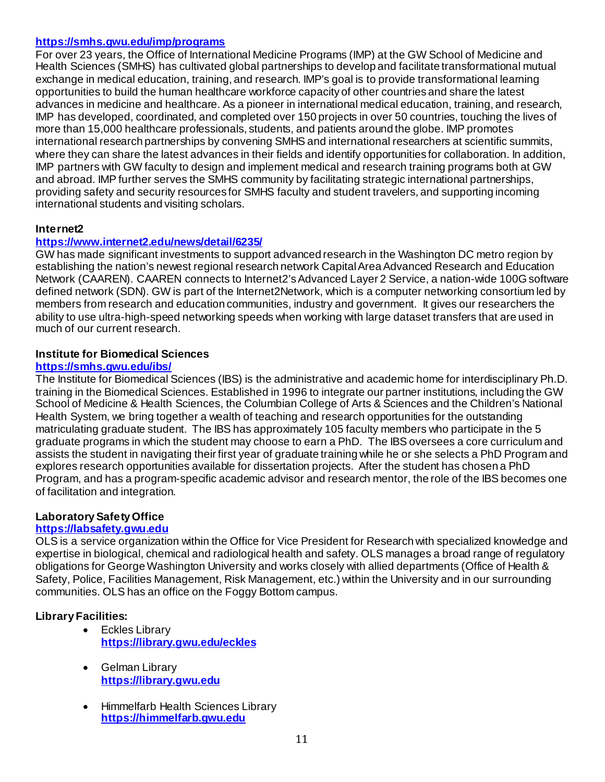### **<https://smhs.gwu.edu/imp/programs>**

For over 23 years, the Office of International Medicine Programs (IMP) at the GW School of Medicine and Health Sciences (SMHS) has cultivated global partnerships to develop and facilitate transformational mutual exchange in medical education, training, and research. IMP's goal is to provide transformational learning opportunities to build the human healthcare workforce capacity of other countries and share the latest advances in medicine and healthcare. As a pioneer in international medical education, training, and research, IMP has developed, coordinated, and completed over 150 projects in over 50 countries, touching the lives of more than 15,000 healthcare professionals, students, and patients around the globe. IMP promotes international research partnerships by convening SMHS and international researchers at scientific summits, where they can share the latest advances in their fields and identify opportunities for collaboration. In addition, IMP partners with GW faculty to design and implement medical and research training programs both at GW and abroad. IMP further serves the SMHS community by facilitating strategic international partnerships, providing safety and security resources for SMHS faculty and student travelers, and supporting incoming international students and visiting scholars.

#### **Internet2**

#### **<https://www.internet2.edu/news/detail/6235/>**

GW has made significant investments to support advanced research in the Washington DC metro region by establishing the nation's newest regional research network Capital Area Advanced Research and Education Network (CAAREN). CAAREN connects to Internet2's Advanced Layer 2 Service, a nation-wide 100G software defined network (SDN). GW is part of the Internet2Network, which is a computer networking consortium led by members from research and education communities, industry and government. It gives our researchers the ability to use ultra-high-speed networking speeds when working with large dataset transfers that are used in much of our current research.

#### **Institute for Biomedical Sciences**

#### **<https://smhs.gwu.edu/ibs/>**

The Institute for Biomedical Sciences (IBS) is the administrative and academic home for interdisciplinary Ph.D. training in the Biomedical Sciences. Established in 1996 to integrate our partner institutions, including the GW School of Medicine & Health Sciences, the Columbian College of Arts & Sciences and the Children's National Health System, we bring together a wealth of teaching and research opportunities for the outstanding matriculating graduate student. The IBS has approximately 105 faculty members who participate in the 5 graduate programs in which the student may choose to earn a PhD. The IBS oversees a core curriculum and assists the student in navigating their first year of graduate training while he or she selects a PhD Program and explores research opportunities available for dissertation projects. After the student has chosen a PhD Program, and has a program-specific academic advisor and research mentor, the role of the IBS becomes one of facilitation and integration.

#### **Laboratory Safety Office**

#### **[https://labsafety.gwu.edu](https://labsafety.gwu.edu/)**

OLS is a service organization within the Office for Vice President for Research with specialized knowledge and expertise in biological, chemical and radiological health and safety. OLS manages a broad range of regulatory obligations for George Washington University and works closely with allied departments (Office of Health & Safety, Police, Facilities Management, Risk Management, etc.) within the University and in our surrounding communities. OLS has an office on the Foggy Bottom campus.

#### **Library Facilities:**

- Eckles Library **<https://library.gwu.edu/eckles>**
- Gelman Library **[https://library.gwu.edu](https://library.gwu.edu/)**
- Himmelfarb Health Sciences Library **[https://himmelfarb.gwu.edu](https://himmelfarb.gwu.edu/)**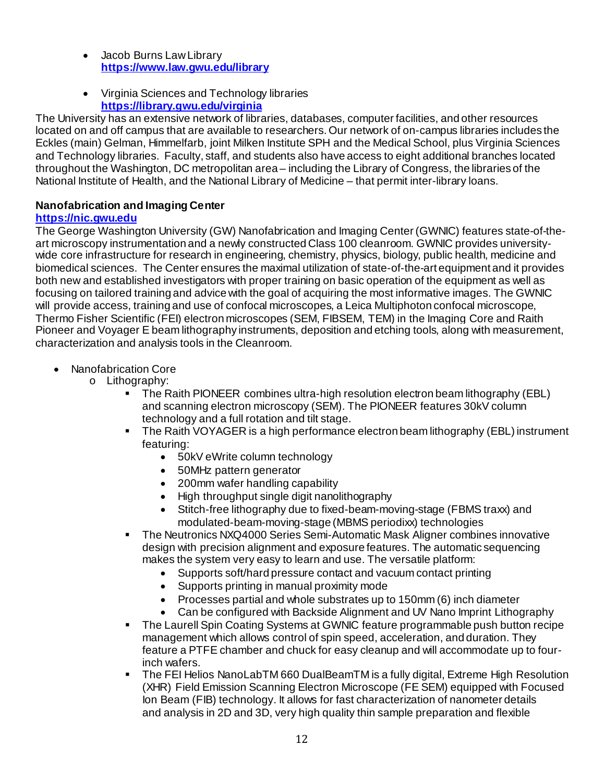- Jacob Burns Law Library **<https://www.law.gwu.edu/library>**
- Virginia Sciences and Technology libraries **<https://library.gwu.edu/virginia>**

The University has an extensive network of libraries, databases, computer facilities, and other resources located on and off campus that are available to researchers. Our network of on-campus libraries includes the Eckles (main) Gelman, Himmelfarb, joint Milken Institute SPH and the Medical School, plus Virginia Sciences and Technology libraries. Faculty, staff, and students also have access to eight additional branches located throughout the Washington, DC metropolitan area – including the Library of Congress, the libraries of the National Institute of Health, and the National Library of Medicine – that permit inter-library loans.

# **Nanofabrication and Imaging Center**

# **[https://nic.gwu.edu](https://nic.gwu.edu/)**

The George Washington University (GW) Nanofabrication and Imaging Center (GWNIC) features state-of-theart microscopy instrumentation and a newly constructed Class 100 cleanroom. GWNIC provides universitywide core infrastructure for research in engineering, chemistry, physics, biology, public health, medicine and biomedical sciences. The Center ensures the maximal utilization of state-of-the-art equipment and it provides both new and established investigators with proper training on basic operation of the equipment as well as focusing on tailored training and advice with the goal of acquiring the most informative images. The GWNIC will provide access, training and use of confocal microscopes, a Leica Multiphoton confocal microscope, Thermo Fisher Scientific (FEI) electron microscopes (SEM, FIBSEM, TEM) in the Imaging Core and Raith Pioneer and Voyager E beam lithography instruments, deposition and etching tools, along with measurement, characterization and analysis tools in the Cleanroom.

- Nanofabrication Core
	- o Lithography:<br>The R
		- The Raith PIONEER combines ultra-high resolution electron beam lithography (EBL) and scanning electron microscopy (SEM). The PIONEER features 30kV column technology and a full rotation and tilt stage.
		- The Raith VOYAGER is a high performance electron beam lithography (EBL) instrument featuring:
			- 50kV eWrite column technology
			- 50MHz pattern generator
			- 200mm wafer handling capability
			- High throughput single digit nanolithography
			- Stitch-free lithography due to fixed-beam-moving-stage (FBMS traxx) and modulated-beam-moving-stage (MBMS periodixx) technologies
		- The Neutronics NXQ4000 Series Semi-Automatic Mask Aligner combines innovative design with precision alignment and exposure features. The automatic sequencing makes the system very easy to learn and use. The versatile platform:
			- Supports soft/hard pressure contact and vacuum contact printing
			- Supports printing in manual proximity mode
			- Processes partial and whole substrates up to 150mm (6) inch diameter
			- Can be configured with Backside Alignment and UV Nano Imprint Lithography
		- The Laurell Spin Coating Systems at GWNIC feature programmable push button recipe management which allows control of spin speed, acceleration, and duration. They feature a PTFE chamber and chuck for easy cleanup and will accommodate up to fourinch wafers.
		- The FEI Helios NanoLabTM 660 DualBeamTM is a fully digital, Extreme High Resolution (XHR) Field Emission Scanning Electron Microscope (FE SEM) equipped with Focused Ion Beam (FIB) technology. It allows for fast characterization of nanometer details and analysis in 2D and 3D, very high quality thin sample preparation and flexible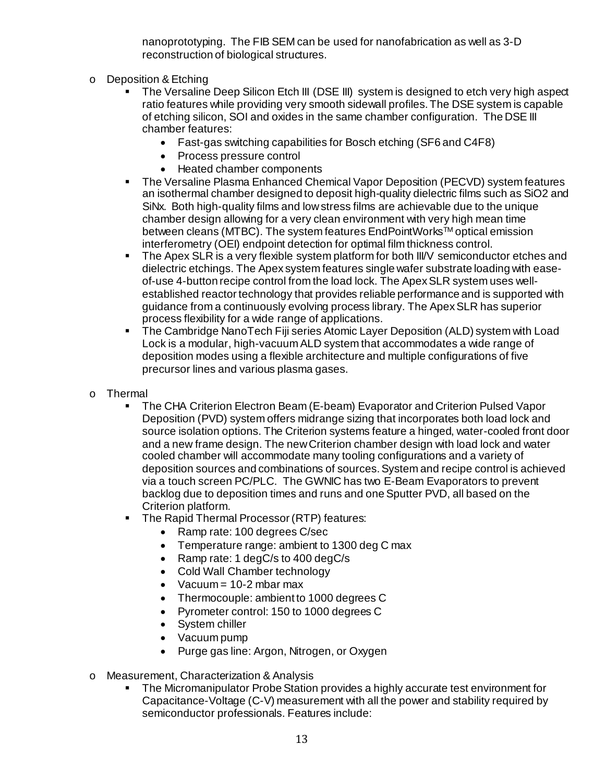nanoprototyping. The FIB SEM can be used for nanofabrication as well as 3-D reconstruction of biological structures.

- o Deposition & Etching
	- The Versaline Deep Silicon Etch III (DSE III) system is designed to etch very high aspect ratio features while providing very smooth sidewall profiles. The DSE system is capable of etching silicon, SOI and oxides in the same chamber configuration. The DSE III chamber features:
		- Fast-gas switching capabilities for Bosch etching (SF6 and C4F8)
		- Process pressure control
		- Heated chamber components
	- The Versaline Plasma Enhanced Chemical Vapor Deposition (PECVD) system features an isothermal chamber designed to deposit high-quality dielectric films such as SiO2 and SiNx. Both high-quality films and low stress films are achievable due to the unique chamber design allowing for a very clean environment with very high mean time between cleans (MTBC). The system features EndPointWorksTM optical emission interferometry (OEI) endpoint detection for optimal film thickness control.
	- The Apex SLR is a very flexible system platform for both III/V semiconductor etches and dielectric etchings. The Apex system features single wafer substrate loading with easeof-use 4-button recipe control from the load lock. The Apex SLR system uses wellestablished reactor technology that provides reliable performance and is supported with guidance from a continuously evolving process library. The Apex SLR has superior process flexibility for a wide range of applications.
	- The Cambridge NanoTech Fiji series Atomic Layer Deposition (ALD) system with Load Lock is a modular, high-vacuum ALD system that accommodates a wide range of deposition modes using a flexible architecture and multiple configurations of five precursor lines and various plasma gases.
- o Thermal
	- The CHA Criterion Electron Beam (E-beam) Evaporator and Criterion Pulsed Vapor Deposition (PVD) system offers midrange sizing that incorporates both load lock and source isolation options. The Criterion systems feature a hinged, water-cooled front door and a new frame design. The new Criterion chamber design with load lock and water cooled chamber will accommodate many tooling configurations and a variety of deposition sources and combinations of sources. System and recipe control is achieved via a touch screen PC/PLC. The GWNIC has two E-Beam Evaporators to prevent backlog due to deposition times and runs and one Sputter PVD, all based on the Criterion platform.
	- **The Rapid Thermal Processor (RTP) features:** 
		- Ramp rate: 100 degrees C/sec
		- Temperature range: ambient to 1300 deg C max
		- Ramp rate: 1 degC/s to 400 degC/s
		- Cold Wall Chamber technology
		- Vacuum =  $10-2$  mbar max
		- Thermocouple: ambient to 1000 degrees C
		- Pyrometer control: 150 to 1000 degrees C
		- System chiller
		- Vacuum pump
		- Purge gas line: Argon, Nitrogen, or Oxygen
- o Measurement, Characterization & Analysis
	- The Micromanipulator Probe Station provides a highly accurate test environment for Capacitance-Voltage (C-V) measurement with all the power and stability required by semiconductor professionals. Features include: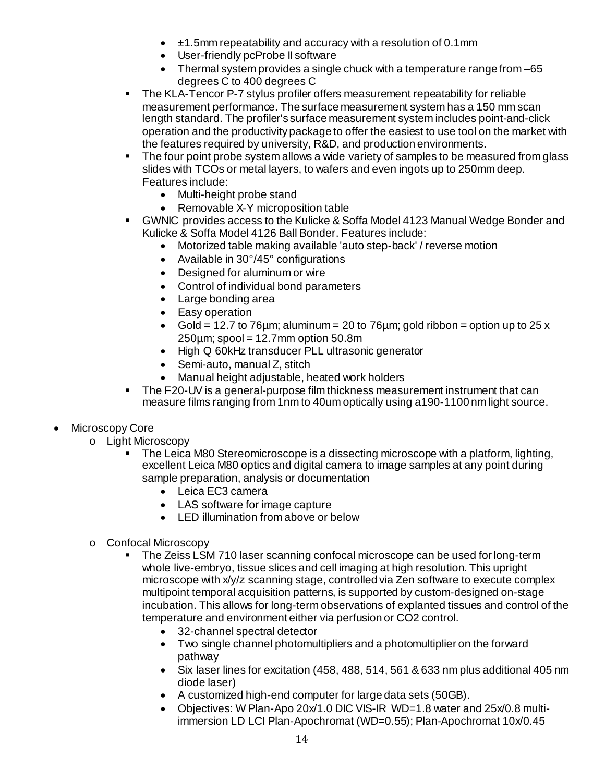- $\pm$ 1.5mm repeatability and accuracy with a resolution of 0.1mm
- User-friendly pcProbe II software
- Thermal system provides a single chuck with a temperature range from –65 degrees C to 400 degrees C
- The KLA-Tencor P-7 stylus profiler offers measurement repeatability for reliable measurement performance. The surface measurement system has a 150 mm scan length standard. The profiler's surface measurement system includes point-and-click operation and the productivity package to offer the easiest to use tool on the market with the features required by university, R&D, and production environments.
- The four point probe system allows a wide variety of samples to be measured from glass slides with TCOs or metal layers, to wafers and even ingots up to 250mm deep. Features include:
	- Multi-height probe stand
	- Removable X-Y microposition table
- GWNIC provides access to the Kulicke & Soffa Model 4123 Manual Wedge Bonder and Kulicke & Soffa Model 4126 Ball Bonder. Features include:
	- Motorized table making available 'auto step-back' / reverse motion
	- Available in 30°/45° configurations
	- Designed for aluminum or wire
	- Control of individual bond parameters
	- Large bonding area
	- Easy operation
	- Gold = 12.7 to 76  $\mu$ m; aluminum = 20 to 76 $\mu$ m; gold ribbon = option up to 25 x 250 $\mu$ m; spool = 12.7 $\mu$ m option 50.8 $\mu$
	- High Q 60kHz transducer PLL ultrasonic generator
	- Semi-auto, manual Z, stitch
	- Manual height adjustable, heated work holders
- The F20-UV is a general-purpose film thickness measurement instrument that can measure films ranging from 1nm to 40um optically using a190-1100 nm light source.
- Microscopy Core
	- o Light Microscopy
		- The Leica M80 Stereomicroscope is a dissecting microscope with a platform, lighting, excellent Leica M80 optics and digital camera to image samples at any point during sample preparation, analysis or documentation
			- Leica EC3 camera
			- LAS software for image capture
			- LED illumination from above or below
	- o Confocal Microscopy
		- The Zeiss LSM 710 laser scanning confocal microscope can be used for long-term whole live-embryo, tissue slices and cell imaging at high resolution. This upright microscope with x/y/z scanning stage, controlled via Zen software to execute complex multipoint temporal acquisition patterns, is supported by custom-designed on-stage incubation. This allows for long-term observations of explanted tissues and control of the temperature and environment either via perfusion or CO2 control.
			- 32-channel spectral detector
			- Two single channel photomultipliers and a photomultiplier on the forward pathway
			- Six laser lines for excitation (458, 488, 514, 561 & 633 nm plus additional 405 nm diode laser)
			- A customized high-end computer for large data sets (50GB).
			- Objectives: W Plan-Apo 20x/1.0 DIC VIS-IR WD=1.8 water and 25x/0.8 multiimmersion LD LCI Plan-Apochromat (WD=0.55); Plan-Apochromat 10x/0.45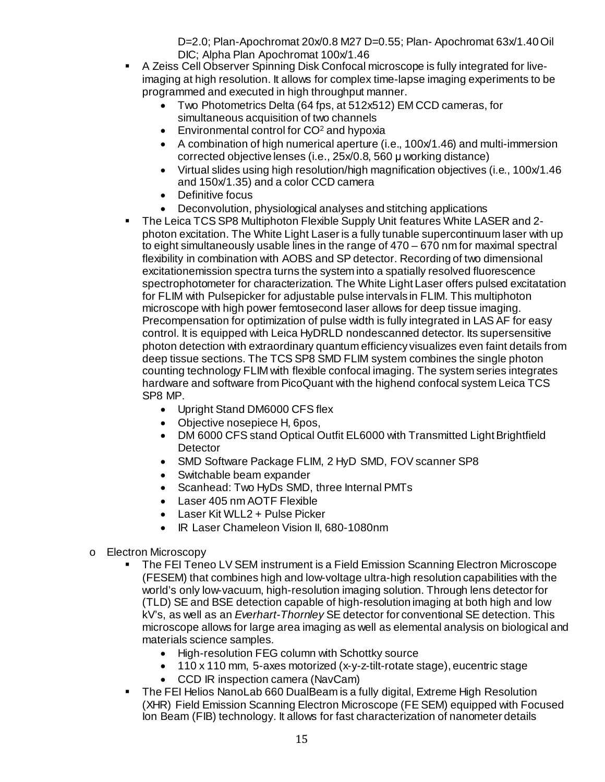D=2.0; Plan-Apochromat 20x/0.8 M27 D=0.55; Plan- Apochromat 63x/1.40 Oil DIC; Alpha Plan Apochromat 100x/1.46

- A Zeiss Cell Observer Spinning Disk Confocal microscope is fully integrated for liveimaging at high resolution. It allows for complex time-lapse imaging experiments to be programmed and executed in high throughput manner.
	- Two Photometrics Delta (64 fps, at 512x512) EM CCD cameras, for simultaneous acquisition of two channels
	- Environmental control for CO<sup>2</sup> and hypoxia
	- A combination of high numerical aperture (i.e., 100x/1.46) and multi-immersion corrected objective lenses (i.e., 25x/0.8, 560 μ working distance)
	- Virtual slides using high resolution/high magnification objectives (i.e., 100x/1.46 and 150x/1.35) and a color CCD camera
	- Definitive focus
	- Deconvolution, physiological analyses and stitching applications
- The Leica TCS SP8 Multiphoton Flexible Supply Unit features White LASER and 2 photon excitation. The White Light Laser is a fully tunable supercontinuum laser with up to eight simultaneously usable lines in the range of 470 – 670 nm for maximal spectral flexibility in combination with AOBS and SP detector. Recording of two dimensional excitationemission spectra turns the system into a spatially resolved fluorescence spectrophotometer for characterization. The White Light Laser offers pulsed excitatation for FLIM with Pulsepicker for adjustable pulse intervals in FLIM. This multiphoton microscope with high power femtosecond laser allows for deep tissue imaging. Precompensation for optimization of pulse width is fully integrated in LAS AF for easy control. It is equipped with Leica HyDRLD nondescanned detector. Its supersensitive photon detection with extraordinary quantum efficiency visualizes even faint details from deep tissue sections. The TCS SP8 SMD FLIM system combines the single photon counting technology FLIM with flexible confocal imaging. The system series integrates hardware and software from PicoQuant with the highend confocal system Leica TCS SP8 MP.
	- Upright Stand DM6000 CFS flex
	- Objective nosepiece H, 6pos,
	- DM 6000 CFS stand Optical Outfit EL6000 with Transmitted Light Brightfield **Detector**
	- SMD Software Package FLIM, 2 HyD SMD, FOV scanner SP8
	- Switchable beam expander
	- Scanhead: Two HyDs SMD, three Internal PMTs
	- Laser 405 nm AOTF Flexible
	- Laser Kit WLL2 + Pulse Picker
	- IR Laser Chameleon Vision II, 680-1080nm
- o Electron Microscopy
	- The FEI Teneo LV SEM instrument is a Field Emission Scanning Electron Microscope (FESEM) that combines high and low-voltage ultra-high resolution capabilities with the world's only low-vacuum, high-resolution imaging solution. Through lens detector for (TLD) SE and BSE detection capable of high-resolution imaging at both high and low kV's, as well as an *Everhart-Thornley* SE detector for conventional SE detection. This microscope allows for large area imaging as well as elemental analysis on biological and materials science samples.
		- High-resolution FEG column with Schottky source
		- 110 x 110 mm, 5-axes motorized (x-y-z-tilt-rotate stage), eucentric stage
		- CCD IR inspection camera (NavCam)
	- **The FEI Helios NanoLab 660 DualBeam is a fully digital, Extreme High Resolution** (XHR) Field Emission Scanning Electron Microscope (FE SEM) equipped with Focused Ion Beam (FIB) technology. It allows for fast characterization of nanometer details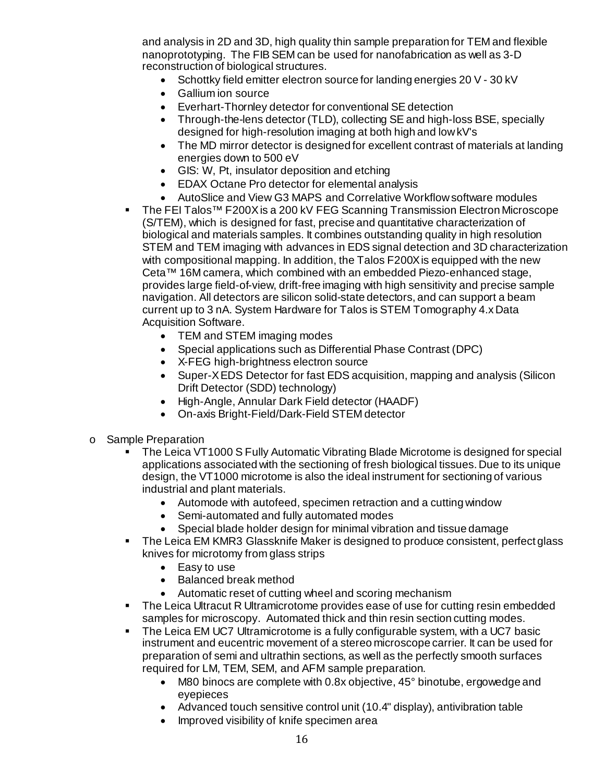and analysis in 2D and 3D, high quality thin sample preparation for TEM and flexible nanoprototyping. The FIB SEM can be used for nanofabrication as well as 3-D reconstruction of biological structures.

- Schottky field emitter electron source for landing energies 20 V 30 kV
- Gallium ion source
- Everhart-Thornley detector for conventional SE detection
- Through-the-lens detector (TLD), collecting SE and high-loss BSE, specially designed for high-resolution imaging at both high and low kV's
- The MD mirror detector is designed for excellent contrast of materials at landing energies down to 500 eV
- GIS: W, Pt, insulator deposition and etching
- EDAX Octane Pro detector for elemental analysis
- AutoSlice and View G3 MAPS and Correlative Workflow software modules
- The FEI Talos<sup>™</sup> F200X is a 200 kV FEG Scanning Transmission Electron Microscope (S/TEM), which is designed for fast, precise and quantitative characterization of biological and materials samples. It combines outstanding quality in high resolution STEM and TEM imaging with advances in EDS signal detection and 3D characterization with compositional mapping. In addition, the Talos F200X is equipped with the new Ceta™ 16M camera, which combined with an embedded Piezo-enhanced stage, provides large field-of-view, drift-free imaging with high sensitivity and precise sample navigation. All detectors are silicon solid-state detectors, and can support a beam current up to 3 nA. System Hardware for Talos is STEM Tomography 4.x Data Acquisition Software.
	- TEM and STEM imaging modes
	- Special applications such as Differential Phase Contrast (DPC)
	- X-FEG high-brightness electron source
	- Super-X EDS Detector for fast EDS acquisition, mapping and analysis (Silicon Drift Detector (SDD) technology)
	- High-Angle, Annular Dark Field detector (HAADF)
	- On-axis Bright-Field/Dark-Field STEM detector
- o Sample Preparation<br>■ The Leica VT
	- The Leica VT1000 S Fully Automatic Vibrating Blade Microtome is designed for special applications associated with the sectioning of fresh biological tissues. Due to its unique design, the VT1000 microtome is also the ideal instrument for sectioning of various industrial and plant materials.
		- Automode with autofeed, specimen retraction and a cutting window
		- Semi-automated and fully automated modes
		- Special blade holder design for minimal vibration and tissue damage
	- The Leica EM KMR3 Glassknife Maker is designed to produce consistent, perfect glass knives for microtomy from glass strips
		- Easy to use
		- Balanced break method
		- Automatic reset of cutting wheel and scoring mechanism
	- The Leica Ultracut R Ultramicrotome provides ease of use for cutting resin embedded samples for microscopy. Automated thick and thin resin section cutting modes.
	- The Leica EM UC7 Ultramicrotome is a fully configurable system, with a UC7 basic instrument and eucentric movement of a stereo microscope carrier. It can be used for preparation of semi and ultrathin sections, as well as the perfectly smooth surfaces required for LM, TEM, SEM, and AFM sample preparation.
		- M80 binocs are complete with 0.8x objective, 45° binotube, ergowedge and eyepieces
		- Advanced touch sensitive control unit (10.4" display), antivibration table
		- Improved visibility of knife specimen area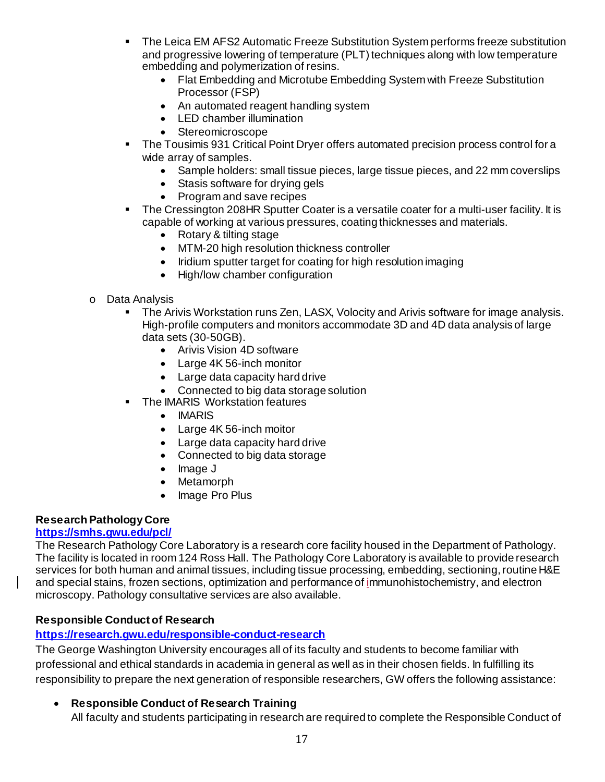- The Leica EM AFS2 Automatic Freeze Substitution System performs freeze substitution and progressive lowering of temperature (PLT) techniques along with low temperature embedding and polymerization of resins.
	- Flat Embedding and Microtube Embedding System with Freeze Substitution Processor (FSP)
	- An automated reagent handling system
	- LED chamber illumination
	- Stereomicroscope
- The Tousimis 931 Critical Point Dryer offers automated precision process control for a wide array of samples.
	- Sample holders: small tissue pieces, large tissue pieces, and 22 mm coverslips
	- Stasis software for drying gels
	- Program and save recipes
- The Cressington 208HR Sputter Coater is a versatile coater for a multi-user facility. It is capable of working at various pressures, coating thicknesses and materials.
	- Rotary & tilting stage
	- MTM-20 high resolution thickness controller
	- Iridium sputter target for coating for high resolution imaging
	- High/low chamber configuration
- o Data Analysis<br>The Ari
	- The Arivis Workstation runs Zen, LASX, Volocity and Arivis software for image analysis. High-profile computers and monitors accommodate 3D and 4D data analysis of large data sets (30-50GB).
		- Arivis Vision 4D software
		- Large 4K 56-inch monitor
		- Large data capacity hard drive
		- Connected to big data storage solution
	- **The IMARIS Workstation features** 
		- IMARIS
		- Large 4K 56-inch moitor
		- Large data capacity hard drive
		- Connected to big data storage
		- Image J
		- **Metamorph**
		- Image Pro Plus

# **Research Pathology Core**

#### **<https://smhs.gwu.edu/pcl/>**

The Research Pathology Core Laboratory is a research core facility housed in the Department of Pathology. The facility is located in room 124 Ross Hall. The Pathology Core Laboratory is available to provide research services for both human and animal tissues, including tissue processing, embedding, sectioning, routine H&E and special stains, frozen sections, optimization and performance of immunohistochemistry, and electron microscopy. Pathology consultative services are also available.

# **Responsible Conduct of Research**

# **<https://research.gwu.edu/responsible-conduct-research>**

The George Washington University encourages all of its faculty and students to become familiar with professional and ethical standards in academia in general as well as in their chosen fields. In fulfilling its responsibility to prepare the next generation of responsible researchers, GW offers the following assistance:

# • **Responsible Conduct of Research Training**

All faculty and students participating in research are required to complete the Responsible Conduct of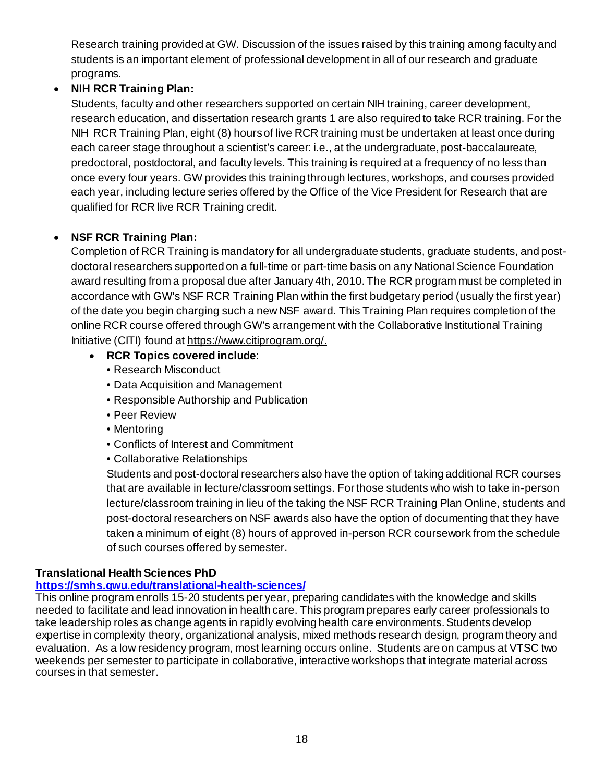Research training provided at GW. Discussion of the issues raised by this training among faculty and students is an important element of professional development in all of our research and graduate programs.

# • **NIH RCR Training Plan:**

Students, faculty and other researchers supported on certain NIH training, career development, research education, and dissertation research grants 1 are also required to take RCR training. For the NIH RCR Training Plan, eight (8) hours of live RCR training must be undertaken at least once during each career stage throughout a scientist's career: i.e., at the undergraduate, post-baccalaureate, predoctoral, postdoctoral, and faculty levels. This training is required at a frequency of no less than once every four years. GW provides this training through lectures, workshops, and courses provided each year, including lecture series offered by the Office of the Vice President for Research that are qualified for RCR live RCR Training credit.

# • **NSF RCR Training Plan:**

Completion of RCR Training is mandatory for all undergraduate students, graduate students, and postdoctoral researchers supported on a full-time or part-time basis on any National Science Foundation award resulting from a proposal due after January 4th, 2010. The RCR program must be completed in accordance with GW's NSF RCR Training Plan within the first budgetary period (usually the first year) of the date you begin charging such a new NSF award. This Training Plan requires completion of the online RCR course offered through GW's arrangement with the Collaborative Institutional Training Initiative (CITI) found at [https://www.citiprogram.org/.](https://www.citiprogram.org/)

- **RCR Topics covered include**:
	- Research Misconduct
	- Data Acquisition and Management
	- Responsible Authorship and Publication
	- Peer Review
	- Mentoring
	- Conflicts of Interest and Commitment
	- Collaborative Relationships

Students and post-doctoral researchers also have the option of taking additional RCR courses that are available in lecture/classroom settings. For those students who wish to take in-person lecture/classroom training in lieu of the taking the NSF RCR Training Plan Online, students and post-doctoral researchers on NSF awards also have the option of documenting that they have taken a minimum of eight (8) hours of approved in-person RCR coursework from the schedule of such courses offered by semester.

# **Translational Health Sciences PhD**

# **<https://smhs.gwu.edu/translational-health-sciences/>**

This online program enrolls 15-20 students per year, preparing candidates with the knowledge and skills needed to facilitate and lead innovation in health care. This program prepares early career professionals to take leadership roles as change agents in rapidly evolving health care environments. Students develop expertise in complexity theory, organizational analysis, mixed methods research design, program theory and evaluation. As a low residency program, most learning occurs online. Students are on campus at VTSC two weekends per semester to participate in collaborative, interactive workshops that integrate material across courses in that semester.